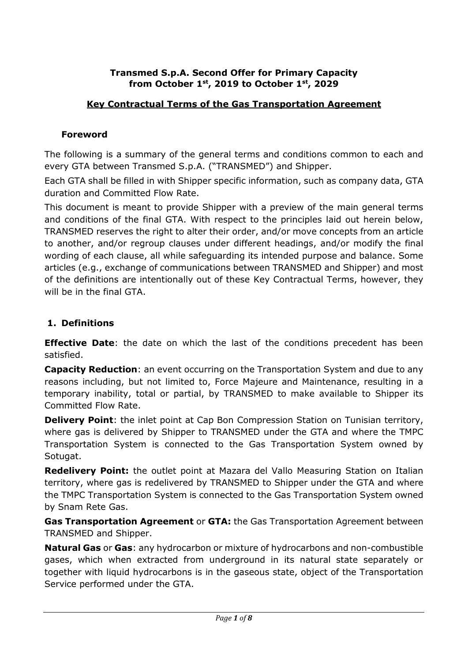### **Transmed S.p.A. Second Offer for Primary Capacity from October 1st, 2019 to October 1st, 2029**

# **Key Contractual Terms of the Gas Transportation Agreement**

### **Foreword**

The following is a summary of the general terms and conditions common to each and every GTA between Transmed S.p.A. ("TRANSMED") and Shipper.

Each GTA shall be filled in with Shipper specific information, such as company data, GTA duration and Committed Flow Rate.

This document is meant to provide Shipper with a preview of the main general terms and conditions of the final GTA. With respect to the principles laid out herein below, TRANSMED reserves the right to alter their order, and/or move concepts from an article to another, and/or regroup clauses under different headings, and/or modify the final wording of each clause, all while safeguarding its intended purpose and balance. Some articles (e.g., exchange of communications between TRANSMED and Shipper) and most of the definitions are intentionally out of these Key Contractual Terms, however, they will be in the final GTA.

## **1. Definitions**

**Effective Date**: the date on which the last of the conditions precedent has been satisfied.

**Capacity Reduction**: an event occurring on the Transportation System and due to any reasons including, but not limited to, Force Majeure and Maintenance, resulting in a temporary inability, total or partial, by TRANSMED to make available to Shipper its Committed Flow Rate.

**Delivery Point**: the inlet point at Cap Bon Compression Station on Tunisian territory, where gas is delivered by Shipper to TRANSMED under the GTA and where the TMPC Transportation System is connected to the Gas Transportation System owned by Sotugat.

**Redelivery Point:** the outlet point at Mazara del Vallo Measuring Station on Italian territory, where gas is redelivered by TRANSMED to Shipper under the GTA and where the TMPC Transportation System is connected to the Gas Transportation System owned by Snam Rete Gas.

**Gas Transportation Agreement** or **GTA:** the Gas Transportation Agreement between TRANSMED and Shipper.

**Natural Gas** or **Gas**: any hydrocarbon or mixture of hydrocarbons and non-combustible gases, which when extracted from underground in its natural state separately or together with liquid hydrocarbons is in the gaseous state, object of the Transportation Service performed under the GTA.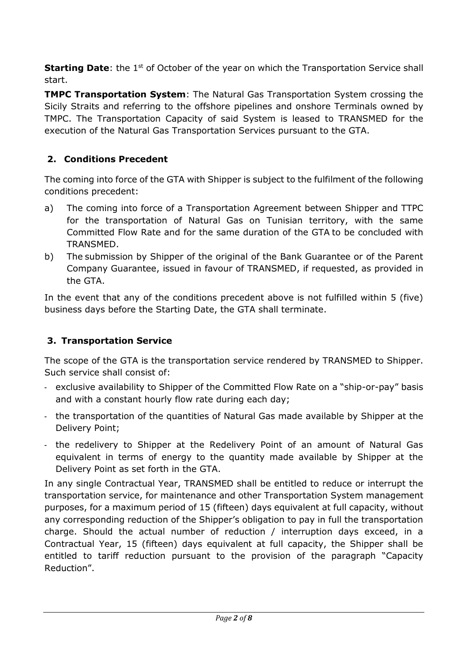**Starting Date:** the 1<sup>st</sup> of October of the year on which the Transportation Service shall start.

**TMPC Transportation System**: The Natural Gas Transportation System crossing the Sicily Straits and referring to the offshore pipelines and onshore Terminals owned by TMPC. The Transportation Capacity of said System is leased to TRANSMED for the execution of the Natural Gas Transportation Services pursuant to the GTA.

# **2. Conditions Precedent**

The coming into force of the GTA with Shipper is subject to the fulfilment of the following conditions precedent:

- a) The coming into force of a Transportation Agreement between Shipper and TTPC for the transportation of Natural Gas on Tunisian territory, with the same Committed Flow Rate and for the same duration of the GTA to be concluded with TRANSMED.
- b) The submission by Shipper of the original of the Bank Guarantee or of the Parent Company Guarantee, issued in favour of TRANSMED, if requested, as provided in the GTA.

In the event that any of the conditions precedent above is not fulfilled within 5 (five) business days before the Starting Date, the GTA shall terminate.

## **3. Transportation Service**

The scope of the GTA is the transportation service rendered by TRANSMED to Shipper. Such service shall consist of:

- exclusive availability to Shipper of the Committed Flow Rate on a "ship-or-pay" basis and with a constant hourly flow rate during each day;
- the transportation of the quantities of Natural Gas made available by Shipper at the Delivery Point;
- the redelivery to Shipper at the Redelivery Point of an amount of Natural Gas equivalent in terms of energy to the quantity made available by Shipper at the Delivery Point as set forth in the GTA.

In any single Contractual Year, TRANSMED shall be entitled to reduce or interrupt the transportation service, for maintenance and other Transportation System management purposes, for a maximum period of 15 (fifteen) days equivalent at full capacity, without any corresponding reduction of the Shipper's obligation to pay in full the transportation charge. Should the actual number of reduction / interruption days exceed, in a Contractual Year, 15 (fifteen) days equivalent at full capacity, the Shipper shall be entitled to tariff reduction pursuant to the provision of the paragraph "Capacity Reduction".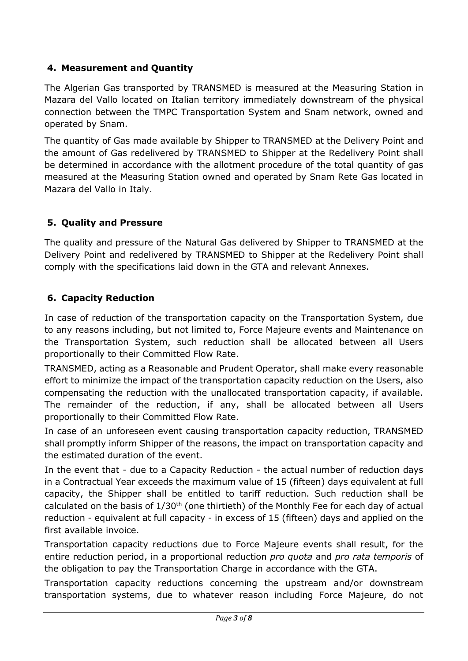# **4. Measurement and Quantity**

The Algerian Gas transported by TRANSMED is measured at the Measuring Station in Mazara del Vallo located on Italian territory immediately downstream of the physical connection between the TMPC Transportation System and Snam network, owned and operated by Snam.

The quantity of Gas made available by Shipper to TRANSMED at the Delivery Point and the amount of Gas redelivered by TRANSMED to Shipper at the Redelivery Point shall be determined in accordance with the allotment procedure of the total quantity of gas measured at the Measuring Station owned and operated by Snam Rete Gas located in Mazara del Vallo in Italy.

# **5. Quality and Pressure**

The quality and pressure of the Natural Gas delivered by Shipper to TRANSMED at the Delivery Point and redelivered by TRANSMED to Shipper at the Redelivery Point shall comply with the specifications laid down in the GTA and relevant Annexes.

## **6. Capacity Reduction**

In case of reduction of the transportation capacity on the Transportation System, due to any reasons including, but not limited to, Force Majeure events and Maintenance on the Transportation System, such reduction shall be allocated between all Users proportionally to their Committed Flow Rate.

TRANSMED, acting as a Reasonable and Prudent Operator, shall make every reasonable effort to minimize the impact of the transportation capacity reduction on the Users, also compensating the reduction with the unallocated transportation capacity, if available. The remainder of the reduction, if any, shall be allocated between all Users proportionally to their Committed Flow Rate.

In case of an unforeseen event causing transportation capacity reduction, TRANSMED shall promptly inform Shipper of the reasons, the impact on transportation capacity and the estimated duration of the event.

In the event that - due to a Capacity Reduction - the actual number of reduction days in a Contractual Year exceeds the maximum value of 15 (fifteen) days equivalent at full capacity, the Shipper shall be entitled to tariff reduction. Such reduction shall be calculated on the basis of  $1/30<sup>th</sup>$  (one thirtieth) of the Monthly Fee for each day of actual reduction - equivalent at full capacity - in excess of 15 (fifteen) days and applied on the first available invoice.

Transportation capacity reductions due to Force Majeure events shall result, for the entire reduction period, in a proportional reduction *pro quota* and *pro rata temporis* of the obligation to pay the Transportation Charge in accordance with the GTA.

Transportation capacity reductions concerning the upstream and/or downstream transportation systems, due to whatever reason including Force Majeure, do not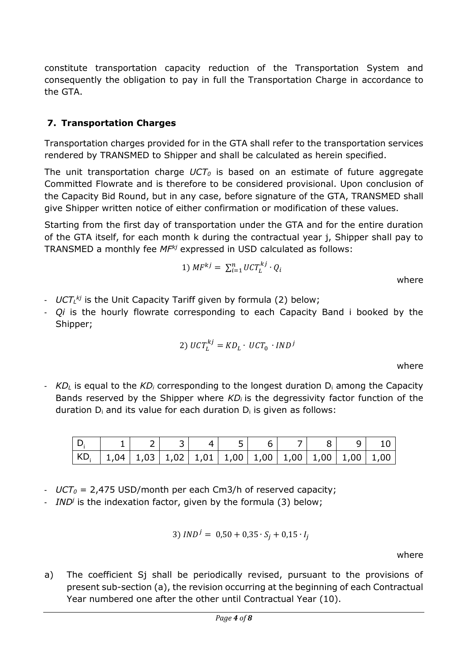constitute transportation capacity reduction of the Transportation System and consequently the obligation to pay in full the Transportation Charge in accordance to the GTA.

### **7. Transportation Charges**

Transportation charges provided for in the GTA shall refer to the transportation services rendered by TRANSMED to Shipper and shall be calculated as herein specified.

The unit transportation charge *UCT<sup>0</sup>* is based on an estimate of future aggregate Committed Flowrate and is therefore to be considered provisional. Upon conclusion of the Capacity Bid Round, but in any case, before signature of the GTA, TRANSMED shall give Shipper written notice of either confirmation or modification of these values.

Starting from the first day of transportation under the GTA and for the entire duration of the GTA itself, for each month k during the contractual year j, Shipper shall pay to TRANSMED a monthly fee *MFkj* expressed in USD calculated as follows:

1) 
$$
MF^{kj} = \sum_{i=1}^{n} UCT_L^{kj} \cdot Q_i
$$
 where

- *UCT<sup>L</sup> kj* is the Unit Capacity Tariff given by formula (2) below;
- *Qi* is the hourly flowrate corresponding to each Capacity Band i booked by the Shipper;

2) 
$$
UCT_L^{kj} = KD_L \cdot UCT_0 \cdot IND^j
$$

where

- *KD<sup>L</sup>* is equal to the *KD<sup>i</sup>* corresponding to the longest duration D<sup>i</sup> among the Capacity Bands reserved by the Shipper where *KD<sup>i</sup>* is the degressivity factor function of the duration  $D_i$  and its value for each duration  $D_i$  is given as follows:

|                                                                                                                                           |  | $-51$ |  |  |  |
|-------------------------------------------------------------------------------------------------------------------------------------------|--|-------|--|--|--|
| $\mid$ KD, $\mid$ 1,04 $\mid$ 1,03 $\mid$ 1,02 $\mid$ 1,01 $\mid$ 1,00 $\mid$ 1,00 $\mid$ 1,00 $\mid$ 1,00 $\mid$ 1,00 $\mid$ 1,00 $\mid$ |  |       |  |  |  |

- *UCT<sup>0</sup>* = 2,475 USD/month per each Cm3/h of reserved capacity;
- *IND<sup>j</sup>* is the indexation factor, given by the formula (3) below;

$$
3) \, IND^j = 0.50 + 0.35 \cdot S_j + 0.15 \cdot I_j
$$

where

a) The coefficient Sj shall be periodically revised, pursuant to the provisions of present sub-section (a), the revision occurring at the beginning of each Contractual Year numbered one after the other until Contractual Year (10).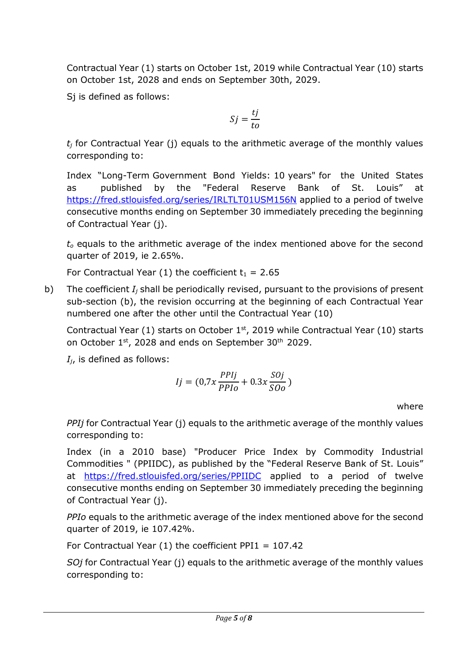Contractual Year (1) starts on October 1st, 2019 while Contractual Year (10) starts on October 1st, 2028 and ends on September 30th, 2029.

Sj is defined as follows:

$$
Sj = \frac{tj}{to}
$$

 $t_i$  for Contractual Year (j) equals to the arithmetic average of the monthly values corresponding to:

Index "Long-Term Government Bond Yields: 10 years" for the United States as published by the "Federal Reserve Bank of St. Louis" at <https://fred.stlouisfed.org/series/IRLTLT01USM156N> applied to a period of twelve consecutive months ending on September 30 immediately preceding the beginning of Contractual Year (j).

*t<sup>o</sup>* equals to the arithmetic average of the index mentioned above for the second quarter of 2019, ie 2.65%.

For Contractual Year (1) the coefficient  $t_1 = 2.65$ 

b) The coefficient *I<sup>j</sup>* shall be periodically revised, pursuant to the provisions of present sub-section (b), the revision occurring at the beginning of each Contractual Year numbered one after the other until the Contractual Year (10)

Contractual Year  $(1)$  starts on October  $1<sup>st</sup>$ , 2019 while Contractual Year  $(10)$  starts on October 1st, 2028 and ends on September 30th 2029.

*Ij*, is defined as follows:

$$
Ij = (0.7x \frac{PPIj}{PPIo} + 0.3x \frac{SOj}{SOo})
$$

where

*PPIj* for Contractual Year (j) equals to the arithmetic average of the monthly values corresponding to:

Index (in a 2010 base) "Producer Price Index by Commodity Industrial Commodities " (PPIIDC), as published by the "Federal Reserve Bank of St. Louis" at <https://fred.stlouisfed.org/series/PPIIDC> applied to a period of twelve consecutive months ending on September 30 immediately preceding the beginning of Contractual Year (j).

*PPIo* equals to the arithmetic average of the index mentioned above for the second quarter of 2019, ie 107.42%.

For Contractual Year  $(1)$  the coefficient PPI1 = 107.42

*SOj* for Contractual Year (j) equals to the arithmetic average of the monthly values corresponding to: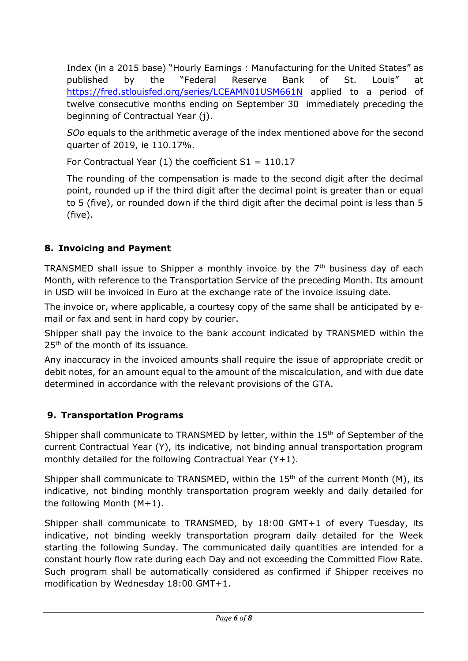Index (in a 2015 base) "Hourly Earnings : Manufacturing for the United States" as published by the "Federal Reserve Bank of St. Louis" at <https://fred.stlouisfed.org/series/LCEAMN01USM661N> applied to a period of twelve consecutive months ending on September 30 immediately preceding the beginning of Contractual Year (j).

*SOo* equals to the arithmetic average of the index mentioned above for the second quarter of 2019, ie 110.17%.

For Contractual Year  $(1)$  the coefficient S1 = 110.17

The rounding of the compensation is made to the second digit after the decimal point, rounded up if the third digit after the decimal point is greater than or equal to 5 (five), or rounded down if the third digit after the decimal point is less than 5 (five).

# **8. Invoicing and Payment**

TRANSMED shall issue to Shipper a monthly invoice by the 7<sup>th</sup> business day of each Month, with reference to the Transportation Service of the preceding Month. Its amount in USD will be invoiced in Euro at the exchange rate of the invoice issuing date.

The invoice or, where applicable, a courtesy copy of the same shall be anticipated by email or fax and sent in hard copy by courier.

Shipper shall pay the invoice to the bank account indicated by TRANSMED within the 25<sup>th</sup> of the month of its issuance.

Any inaccuracy in the invoiced amounts shall require the issue of appropriate credit or debit notes, for an amount equal to the amount of the miscalculation, and with due date determined in accordance with the relevant provisions of the GTA.

# **9. Transportation Programs**

Shipper shall communicate to TRANSMED by letter, within the 15<sup>th</sup> of September of the current Contractual Year (Y), its indicative, not binding annual transportation program monthly detailed for the following Contractual Year (Y+1).

Shipper shall communicate to TRANSMED, within the  $15<sup>th</sup>$  of the current Month (M), its indicative, not binding monthly transportation program weekly and daily detailed for the following Month (M+1).

Shipper shall communicate to TRANSMED, by 18:00 GMT+1 of every Tuesday, its indicative, not binding weekly transportation program daily detailed for the Week starting the following Sunday. The communicated daily quantities are intended for a constant hourly flow rate during each Day and not exceeding the Committed Flow Rate. Such program shall be automatically considered as confirmed if Shipper receives no modification by Wednesday 18:00 GMT+1.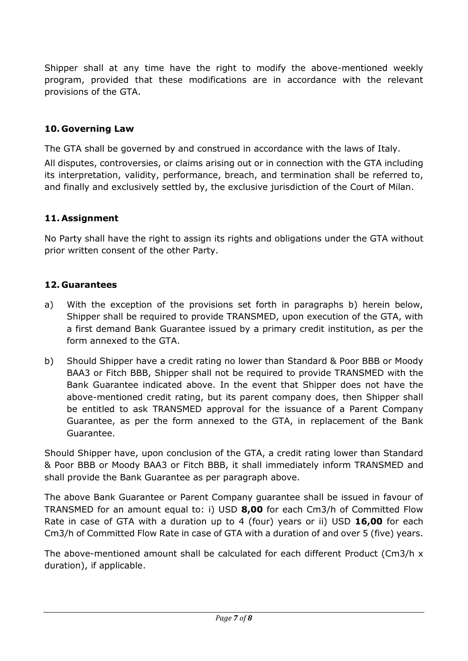Shipper shall at any time have the right to modify the above-mentioned weekly program, provided that these modifications are in accordance with the relevant provisions of the GTA.

### **10. Governing Law**

The GTA shall be governed by and construed in accordance with the laws of Italy. All disputes, controversies, or claims arising out or in connection with the GTA including its interpretation, validity, performance, breach, and termination shall be referred to, and finally and exclusively settled by, the exclusive jurisdiction of the Court of Milan.

### **11. Assignment**

No Party shall have the right to assign its rights and obligations under the GTA without prior written consent of the other Party.

### **12. Guarantees**

- a) With the exception of the provisions set forth in paragraphs b) herein below, Shipper shall be required to provide TRANSMED, upon execution of the GTA, with a first demand Bank Guarantee issued by a primary credit institution, as per the form annexed to the GTA.
- b) Should Shipper have a credit rating no lower than Standard & Poor BBB or Moody BAA3 or Fitch BBB, Shipper shall not be required to provide TRANSMED with the Bank Guarantee indicated above. In the event that Shipper does not have the above-mentioned credit rating, but its parent company does, then Shipper shall be entitled to ask TRANSMED approval for the issuance of a Parent Company Guarantee, as per the form annexed to the GTA, in replacement of the Bank Guarantee.

Should Shipper have, upon conclusion of the GTA, a credit rating lower than Standard & Poor BBB or Moody BAA3 or Fitch BBB, it shall immediately inform TRANSMED and shall provide the Bank Guarantee as per paragraph above.

The above Bank Guarantee or Parent Company guarantee shall be issued in favour of TRANSMED for an amount equal to: i) USD **8,00** for each Cm3/h of Committed Flow Rate in case of GTA with a duration up to 4 (four) years or ii) USD **16,00** for each Cm3/h of Committed Flow Rate in case of GTA with a duration of and over 5 (five) years.

The above-mentioned amount shall be calculated for each different Product (Cm3/h x duration), if applicable.